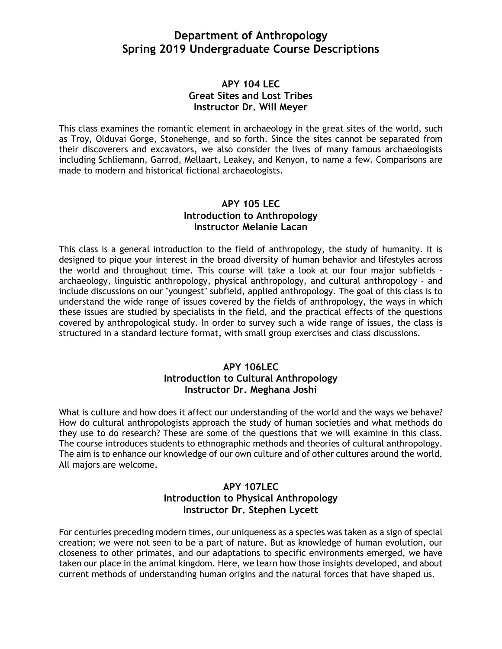# **Department of Anthropology Spring 2019 Undergraduate Course Descriptions**

### **APY 104 LEC Great Sites and Lost Tribes Instructor Dr. Will Meyer**

This class examines the romantic element in archaeology in the great sites of the world, such as Troy, Olduvai Gorge, Stonehenge, and so forth. Since the sites cannot be separated from their discoverers and excavators, we also consider the lives of many famous archaeologists including Schliemann, Garrod, Mellaart, Leakey, and Kenyon, to name a few. Comparisons are made to modern and historical fictional archaeologists.

### **APY 105 LEC Introduction to Anthropology Instructor Melanie Lacan**

This class is a general introduction to the field of anthropology, the study of humanity. It is designed to pique your interest in the broad diversity of human behavior and lifestyles across the world and throughout time. This course will take a look at our four major subfields archaeology, linguistic anthropology, physical anthropology, and cultural anthropology - and include discussions on our "youngest" subfield, applied anthropology. The goal of this class is to understand the wide range of issues covered by the fields of anthropology, the ways in which these issues are studied by specialists in the field, and the practical effects of the questions covered by anthropological study. In order to survey such a wide range of issues, the class is structured in a standard lecture format, with small group exercises and class discussions.

### **APY 106LEC Introduction to Cultural Anthropology Instructor Dr. Meghana Joshi**

What is culture and how does it affect our understanding of the world and the ways we behave? How do cultural anthropologists approach the study of human societies and what methods do they use to do research? These are some of the questions that we will examine in this class. The course introduces students to ethnographic methods and theories of cultural anthropology. The aim is to enhance our knowledge of our own culture and of other cultures around the world. All majors are welcome.

### **APY 107LEC Introduction to Physical Anthropology Instructor Dr. Stephen Lycett**

For centuries preceding modern times, our uniqueness as a species was taken as a sign of special creation; we were not seen to be a part of nature. But as knowledge of human evolution, our closeness to other primates, and our adaptations to specific environments emerged, we have taken our place in the animal kingdom. Here, we learn how those insights developed, and about current methods of understanding human origins and the natural forces that have shaped us.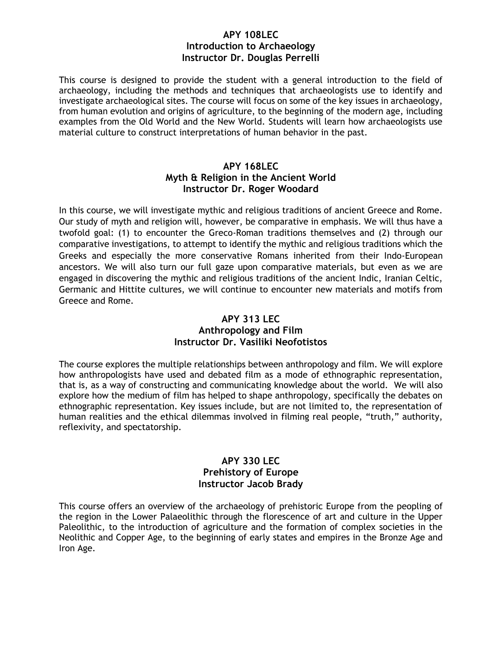#### **APY 108LEC Introduction to Archaeology Instructor Dr. Douglas Perrelli**

This course is designed to provide the student with a general introduction to the field of archaeology, including the methods and techniques that archaeologists use to identify and investigate archaeological sites. The course will focus on some of the key issues in archaeology, from human evolution and origins of agriculture, to the beginning of the modern age, including examples from the Old World and the New World. Students will learn how archaeologists use material culture to construct interpretations of human behavior in the past.

### **APY 168LEC Myth & Religion in the Ancient World Instructor Dr. Roger Woodard**

In this course, we will investigate mythic and religious traditions of ancient Greece and Rome. Our study of myth and religion will, however, be comparative in emphasis. We will thus have a twofold goal: (1) to encounter the Greco-Roman traditions themselves and (2) through our comparative investigations, to attempt to identify the mythic and religious traditions which the Greeks and especially the more conservative Romans inherited from their Indo-European ancestors. We will also turn our full gaze upon comparative materials, but even as we are engaged in discovering the mythic and religious traditions of the ancient Indic, Iranian Celtic, Germanic and Hittite cultures, we will continue to encounter new materials and motifs from Greece and Rome.

### **APY 313 LEC Anthropology and Film Instructor Dr. Vasiliki Neofotistos**

The course explores the multiple relationships between anthropology and film. We will explore how anthropologists have used and debated film as a mode of ethnographic representation, that is, as a way of constructing and communicating knowledge about the world. We will also explore how the medium of film has helped to shape anthropology, specifically the debates on ethnographic representation. Key issues include, but are not limited to, the representation of human realities and the ethical dilemmas involved in filming real people, "truth," authority, reflexivity, and spectatorship.

# **APY 330 LEC Prehistory of Europe Instructor Jacob Brady**

This course offers an overview of the archaeology of prehistoric Europe from the peopling of the region in the Lower Palaeolithic through the florescence of art and culture in the Upper Paleolithic, to the introduction of agriculture and the formation of complex societies in the Neolithic and Copper Age, to the beginning of early states and empires in the Bronze Age and Iron Age.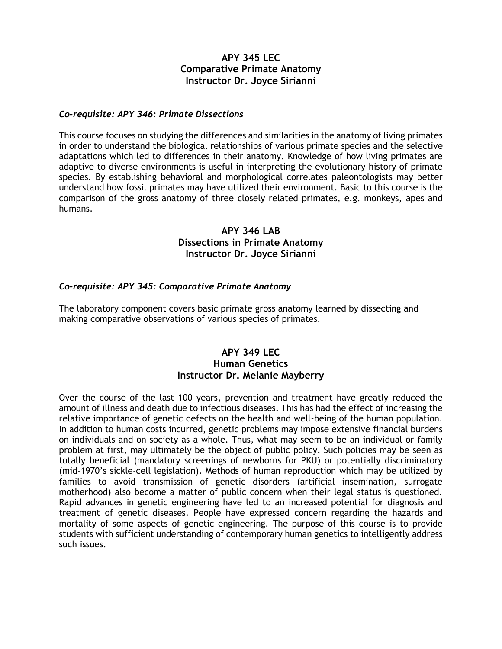# **APY 345 LEC Comparative Primate Anatomy Instructor Dr. Joyce Sirianni**

#### *Co-requisite: APY 346: Primate Dissections*

This course focuses on studying the differences and similarities in the anatomy of living primates in order to understand the biological relationships of various primate species and the selective adaptations which led to differences in their anatomy. Knowledge of how living primates are adaptive to diverse environments is useful in interpreting the evolutionary history of primate species. By establishing behavioral and morphological correlates paleontologists may better understand how fossil primates may have utilized their environment. Basic to this course is the comparison of the gross anatomy of three closely related primates, e.g. monkeys, apes and humans.

### **APY 346 LAB Dissections in Primate Anatomy Instructor Dr. Joyce Sirianni**

#### *Co-requisite: APY 345: Comparative Primate Anatomy*

The laboratory component covers basic primate gross anatomy learned by dissecting and making comparative observations of various species of primates.

# **APY 349 LEC Human Genetics Instructor Dr. Melanie Mayberry**

Over the course of the last 100 years, prevention and treatment have greatly reduced the amount of illness and death due to infectious diseases. This has had the effect of increasing the relative importance of genetic defects on the health and well-being of the human population. In addition to human costs incurred, genetic problems may impose extensive financial burdens on individuals and on society as a whole. Thus, what may seem to be an individual or family problem at first, may ultimately be the object of public policy. Such policies may be seen as totally beneficial (mandatory screenings of newborns for PKU) or potentially discriminatory (mid-1970's sickle-cell legislation). Methods of human reproduction which may be utilized by families to avoid transmission of genetic disorders (artificial insemination, surrogate motherhood) also become a matter of public concern when their legal status is questioned. Rapid advances in genetic engineering have led to an increased potential for diagnosis and treatment of genetic diseases. People have expressed concern regarding the hazards and mortality of some aspects of genetic engineering. The purpose of this course is to provide students with sufficient understanding of contemporary human genetics to intelligently address such issues.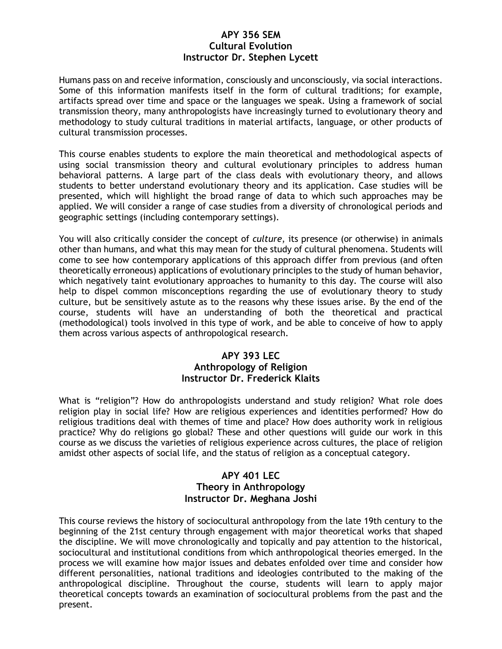#### **APY 356 SEM Cultural Evolution Instructor Dr. Stephen Lycett**

Humans pass on and receive information, consciously and unconsciously, via social interactions. Some of this information manifests itself in the form of cultural traditions; for example, artifacts spread over time and space or the languages we speak. Using a framework of social transmission theory, many anthropologists have increasingly turned to evolutionary theory and methodology to study cultural traditions in material artifacts, language, or other products of cultural transmission processes.

This course enables students to explore the main theoretical and methodological aspects of using social transmission theory and cultural evolutionary principles to address human behavioral patterns. A large part of the class deals with evolutionary theory, and allows students to better understand evolutionary theory and its application. Case studies will be presented, which will highlight the broad range of data to which such approaches may be applied. We will consider a range of case studies from a diversity of chronological periods and geographic settings (including contemporary settings).

You will also critically consider the concept of *culture*, its presence (or otherwise) in animals other than humans, and what this may mean for the study of cultural phenomena. Students will come to see how contemporary applications of this approach differ from previous (and often theoretically erroneous) applications of evolutionary principles to the study of human behavior, which negatively taint evolutionary approaches to humanity to this day. The course will also help to dispel common misconceptions regarding the use of evolutionary theory to study culture, but be sensitively astute as to the reasons why these issues arise. By the end of the course, students will have an understanding of both the theoretical and practical (methodological) tools involved in this type of work, and be able to conceive of how to apply them across various aspects of anthropological research.

### **APY 393 LEC Anthropology of Religion Instructor Dr. Frederick Klaits**

What is "religion"? How do anthropologists understand and study religion? What role does religion play in social life? How are religious experiences and identities performed? How do religious traditions deal with themes of time and place? How does authority work in religious practice? Why do religions go global? These and other questions will guide our work in this course as we discuss the varieties of religious experience across cultures, the place of religion amidst other aspects of social life, and the status of religion as a conceptual category.

### **APY 401 LEC Theory in Anthropology Instructor Dr. Meghana Joshi**

This course reviews the history of sociocultural anthropology from the late 19th century to the beginning of the 21st century through engagement with major theoretical works that shaped the discipline. We will move chronologically and topically and pay attention to the historical, sociocultural and institutional conditions from which anthropological theories emerged. In the process we will examine how major issues and debates enfolded over time and consider how different personalities, national traditions and ideologies contributed to the making of the anthropological discipline. Throughout the course, students will learn to apply major theoretical concepts towards an examination of sociocultural problems from the past and the present.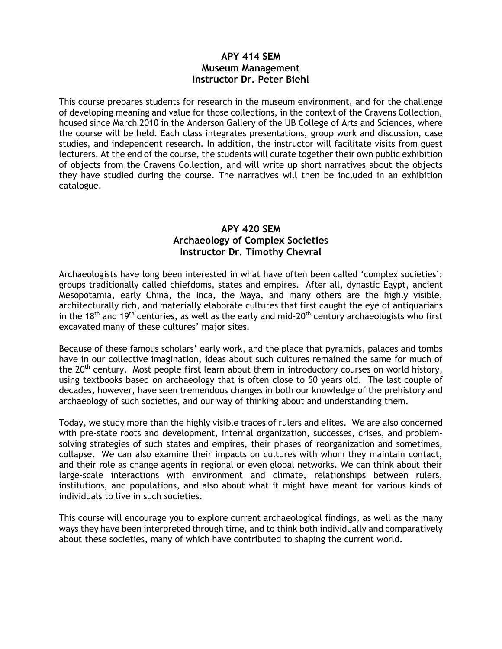### **APY 414 SEM Museum Management Instructor Dr. Peter Biehl**

This course prepares students for research in the museum environment, and for the challenge of developing meaning and value for those collections, in the context of the Cravens Collection, housed since March 2010 in the Anderson Gallery of the UB College of Arts and Sciences, where the course will be held. Each class integrates presentations, group work and discussion, case studies, and independent research. In addition, the instructor will facilitate visits from guest lecturers. At the end of the course, the students will curate together their own public exhibition of objects from the Cravens Collection, and will write up short narratives about the objects they have studied during the course. The narratives will then be included in an exhibition catalogue.

### **APY 420 SEM Archaeology of Complex Societies Instructor Dr. Timothy Chevral**

Archaeologists have long been interested in what have often been called 'complex societies': groups traditionally called chiefdoms, states and empires. After all, dynastic Egypt, ancient Mesopotamia, early China, the Inca, the Maya, and many others are the highly visible, architecturally rich, and materially elaborate cultures that first caught the eye of antiquarians in the 18<sup>th</sup> and 19<sup>th</sup> centuries, as well as the early and mid-20<sup>th</sup> century archaeologists who first excavated many of these cultures' major sites.

Because of these famous scholars' early work, and the place that pyramids, palaces and tombs have in our collective imagination, ideas about such cultures remained the same for much of the 20<sup>th</sup> century. Most people first learn about them in introductory courses on world history, using textbooks based on archaeology that is often close to 50 years old. The last couple of decades, however, have seen tremendous changes in both our knowledge of the prehistory and archaeology of such societies, and our way of thinking about and understanding them.

Today, we study more than the highly visible traces of rulers and elites. We are also concerned with pre-state roots and development, internal organization, successes, crises, and problemsolving strategies of such states and empires, their phases of reorganization and sometimes, collapse. We can also examine their impacts on cultures with whom they maintain contact, and their role as change agents in regional or even global networks. We can think about their large-scale interactions with environment and climate, relationships between rulers, institutions, and populations, and also about what it might have meant for various kinds of individuals to live in such societies.

This course will encourage you to explore current archaeological findings, as well as the many ways they have been interpreted through time, and to think both individually and comparatively about these societies, many of which have contributed to shaping the current world.